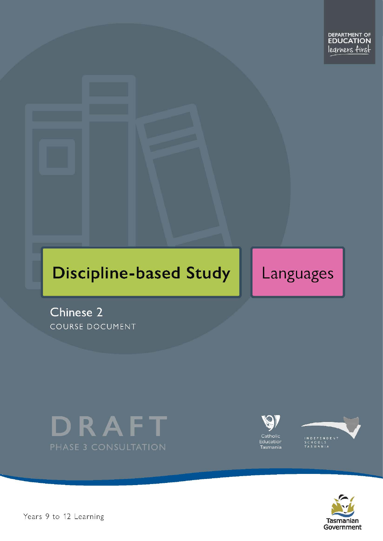# **Discipline-based Study**

Languages

Chinese 2 COURSE DOCUMENT







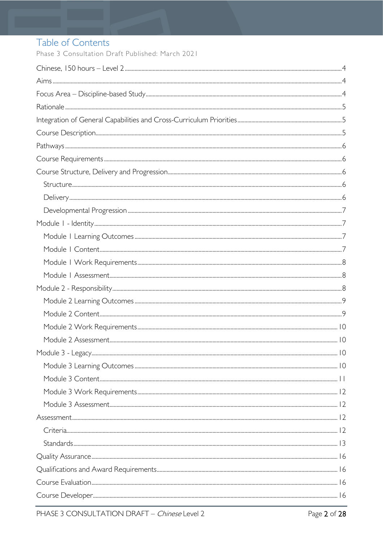# Table of Contents

Phase 3 Consultation Draft Published: March 2021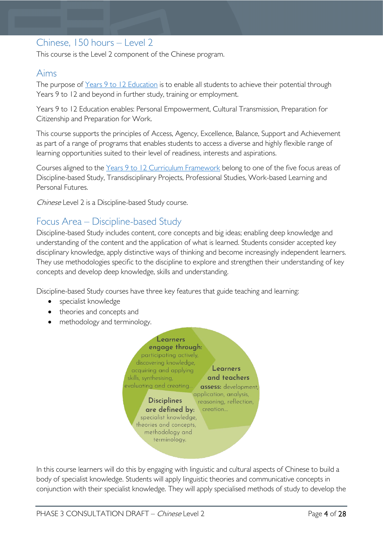# <span id="page-3-0"></span>Chinese, 150 hours – Level 2

This course is the Level 2 component of the Chinese program.

# <span id="page-3-1"></span>Aims

The purpose of Years 9 to 12 [Education](https://publicdocumentcentre.education.tas.gov.au/library/Shared%20Documents/Years-9-to-12-Education-Framework.pdf) is to enable all students to achieve their potential through Years 9 to 12 and beyond in further study, training or employment.

Years 9 to 12 Education enables: Personal Empowerment, Cultural Transmission, Preparation for Citizenship and Preparation for Work.

This course supports the principles of Access, Agency, Excellence, Balance, Support and Achievement as part of a range of programs that enables students to access a diverse and highly flexible range of learning opportunities suited to their level of readiness, interests and aspirations.

Courses aligned to the Years 9 to 12 Curriculum [Framework](https://publicdocumentcentre.education.tas.gov.au/library/Shared%20Documents/Education%209-12%20Frameworks%20A3%20WEB%20POSTER.pdf) belong to one of the five focus areas of Discipline-based Study, Transdisciplinary Projects, Professional Studies, Work-based Learning and Personal Futures.

Chinese Level 2 is a Discipline-based Study course.

# <span id="page-3-2"></span>Focus Area – Discipline-based Study

Discipline-based Study includes content, core concepts and big ideas; enabling deep knowledge and understanding of the content and the application of what is learned. Students consider accepted key disciplinary knowledge, apply distinctive ways of thinking and become increasingly independent learners. They use methodologies specific to the discipline to explore and strengthen their understanding of key concepts and develop deep knowledge, skills and understanding.

Discipline-based Study courses have three key features that guide teaching and learning:

- specialist knowledge
- theories and concepts and
- methodology and terminology.



In this course learners will do this by engaging with linguistic and cultural aspects of Chinese to build a body of specialist knowledge. Students will apply linguistic theories and communicative concepts in conjunction with their specialist knowledge. They will apply specialised methods of study to develop the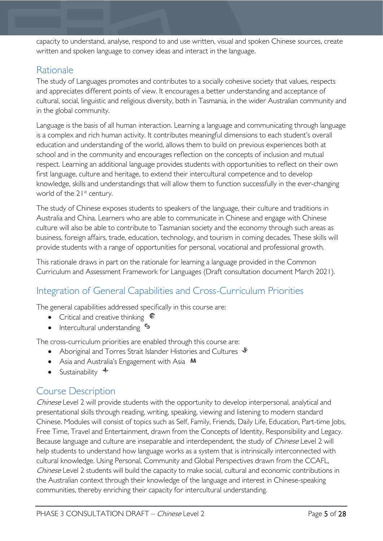capacity to understand, analyse, respond to and use written, visual and spoken Chinese sources, create written and spoken language to convey ideas and interact in the language.

# <span id="page-4-0"></span>Rationale

The study of Languages promotes and contributes to a socially cohesive society that values, respects and appreciates different points of view. It encourages a better understanding and acceptance of cultural, social, linguistic and religious diversity, both in Tasmania, in the wider Australian community and in the global community.

Language is the basis of all human interaction. Learning a language and communicating through language is a complex and rich human activity. It contributes meaningful dimensions to each student's overall education and understanding of the world, allows them to build on previous experiences both at school and in the community and encourages reflection on the concepts of inclusion and mutual respect. Learning an additional language provides students with opportunities to reflect on their own first language, culture and heritage, to extend their intercultural competence and to develop knowledge, skills and understandings that will allow them to function successfully in the ever-changing world of the 21<sup>st</sup> century.

The study of Chinese exposes students to speakers of the language, their culture and traditions in Australia and China. Learners who are able to communicate in Chinese and engage with Chinese culture will also be able to contribute to Tasmanian society and the economy through such areas as business, foreign affairs, trade, education, technology, and tourism in coming decades. These skills will provide students with a range of opportunities for personal, vocational and professional growth.

This rationale draws in part on the rationale for learning a language provided in the Common Curriculum and Assessment Framework for Languages (Draft consultation document March 2021).

# <span id="page-4-1"></span>Integration of General Capabilities and Cross-Curriculum Priorities

The general capabilities addressed specifically in this course are:

- Critical and creative thinking  $\mathbb{C}$
- Intercultural understanding  $\frac{c_3}{ }$

The cross-curriculum priorities are enabled through this course are:

- Aboriginal and Torres Strait Islander Histories and Cultures  $\mathcal$
- Asia and Australia's Engagement with Asia **AA**
- Sustainability  $\triangleleft$

# <span id="page-4-2"></span>Course Description

Chinese Level 2 will provide students with the opportunity to develop interpersonal, analytical and presentational skills through reading, writing, speaking, viewing and listening to modern standard Chinese. Modules will consist of topics such as Self, Family, Friends, Daily Life, Education, Part-time Jobs, Free Time, Travel and Entertainment, drawn from the Concepts of Identity, Responsibility and Legacy. Because language and culture are inseparable and interdependent, the study of *Chinese* Level 2 will help students to understand how language works as a system that is intrinsically interconnected with cultural knowledge. Using Personal, Community and Global Perspectives drawn from the CCAFL, Chinese Level 2 students will build the capacity to make social, cultural and economic contributions in the Australian context through their knowledge of the language and interest in Chinese-speaking communities, thereby enriching their capacity for intercultural understanding.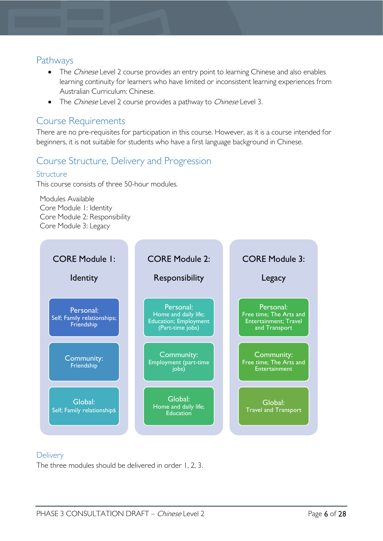## <span id="page-5-0"></span>Pathways

- The Chinese Level 2 course provides an entry point to learning Chinese and also enables learning continuity for learners who have limited or inconsistent learning experiences from Australian Curriculum: Chinese.
- The Chinese Level 2 course provides a pathway to Chinese Level 3.

# <span id="page-5-1"></span>Course Requirements

There are no pre-requisites for participation in this course. However, as it is a course intended for beginners, it is not suitable for students who have a first language background in Chinese.

# <span id="page-5-2"></span>Course Structure, Delivery and Progression

#### <span id="page-5-3"></span>Structure

This course consists of three 50-hour modules.

Modules Available Core Module 1: Identity Core Module 2: Responsibility Core Module 3: Legacy



#### <span id="page-5-4"></span>**Delivery**

The three modules should be delivered in order 1, 2, 3.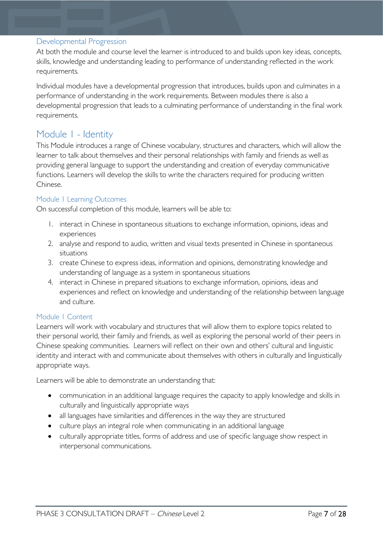#### <span id="page-6-0"></span>Developmental Progression

At both the module and course level the learner is introduced to and builds upon key ideas, concepts, skills, knowledge and understanding leading to performance of understanding reflected in the work requirements.

Individual modules have a developmental progression that introduces, builds upon and culminates in a performance of understanding in the work requirements. Between modules there is also a developmental progression that leads to a culminating performance of understanding in the final work requirements.

## <span id="page-6-1"></span>Module 1 - Identity

This Module introduces a range of Chinese vocabulary, structures and characters, which will allow the learner to talk about themselves and their personal relationships with family and friends as well as providing general language to support the understanding and creation of everyday communicative functions. Learners will develop the skills to write the characters required for producing written Chinese.

#### <span id="page-6-2"></span>Module 1 Learning Outcomes

On successful completion of this module, learners will be able to:

- 1. interact in Chinese in spontaneous situations to exchange information, opinions, ideas and experiences
- 2. analyse and respond to audio, written and visual texts presented in Chinese in spontaneous situations
- 3. create Chinese to express ideas, information and opinions, demonstrating knowledge and understanding of language as a system in spontaneous situations
- 4. interact in Chinese in prepared situations to exchange information, opinions, ideas and experiences and reflect on knowledge and understanding of the relationship between language and culture.

#### <span id="page-6-3"></span>Module 1 Content

Learners will work with vocabulary and structures that will allow them to explore topics related to their personal world, their family and friends, as well as exploring the personal world of their peers in Chinese speaking communities. Learners will reflect on their own and others' cultural and linguistic identity and interact with and communicate about themselves with others in culturally and linguistically appropriate ways.

Learners will be able to demonstrate an understanding that:

- communication in an additional language requires the capacity to apply knowledge and skills in culturally and linguistically appropriate ways
- all languages have similarities and differences in the way they are structured
- culture plays an integral role when communicating in an additional language
- culturally appropriate titles, forms of address and use of specific language show respect in interpersonal communications.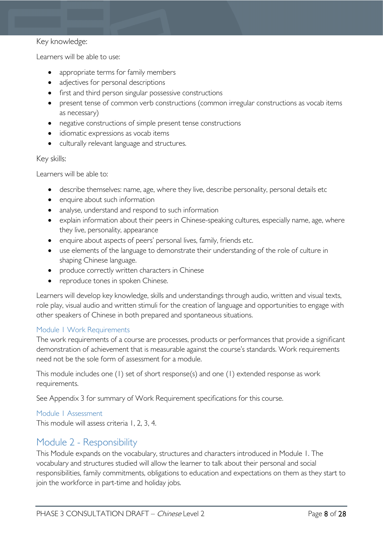#### Key knowledge:

Learners will be able to use:

- appropriate terms for family members
- adjectives for personal descriptions
- first and third person singular possessive constructions
- present tense of common verb constructions (common irregular constructions as vocab items as necessary)
- negative constructions of simple present tense constructions
- idiomatic expressions as vocab items
- culturally relevant language and structures.

#### Key skills:

Learners will be able to:

- describe themselves: name, age, where they live, describe personality, personal details etc
- enquire about such information
- analyse, understand and respond to such information
- explain information about their peers in Chinese-speaking cultures, especially name, age, where they live, personality, appearance
- enquire about aspects of peers' personal lives, family, friends etc.
- use elements of the language to demonstrate their understanding of the role of culture in shaping Chinese language.
- produce correctly written characters in Chinese
- reproduce tones in spoken Chinese.

Learners will develop key knowledge, skills and understandings through audio, written and visual texts, role play, visual audio and written stimuli for the creation of language and opportunities to engage with other speakers of Chinese in both prepared and spontaneous situations.

#### <span id="page-7-0"></span>Module 1 Work Requirements

The work requirements of a course are processes, products or performances that provide a significant demonstration of achievement that is measurable against the course's standards. Work requirements need not be the sole form of assessment for a module.

This module includes one (1) set of short response(s) and one (1) extended response as work requirements.

See Appendix 3 for summary of Work Requirement specifications for this course.

#### <span id="page-7-1"></span>Module 1 Assessment

This module will assess criteria 1, 2, 3, 4.

# <span id="page-7-2"></span>Module 2 - Responsibility

This Module expands on the vocabulary, structures and characters introduced in Module 1. The vocabulary and structures studied will allow the learner to talk about their personal and social responsibilities, family commitments, obligations to education and expectations on them as they start to join the workforce in part-time and holiday jobs.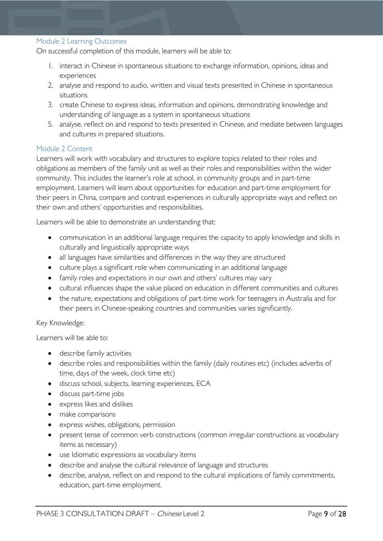#### <span id="page-8-0"></span>Module 2 Learning Outcomes

On successful completion of this module, learners will be able to:

- 1. interact in Chinese in spontaneous situations to exchange information, opinions, ideas and experiences
- 2. analyse and respond to audio, written and visual texts presented in Chinese in spontaneous situations
- 3. create Chinese to express ideas, information and opinions, demonstrating knowledge and understanding of language as a system in spontaneous situations
- 5. analyse, reflect on and respond to texts presented in Chinese, and mediate between languages and cultures in prepared situations.

#### <span id="page-8-1"></span>Module 2 Content

Learners will work with vocabulary and structures to explore topics related to their roles and obligations as members of the family unit as well as their roles and responsibilities within the wider community. This includes the learner's role at school, in community groups and in part-time employment. Learners will learn about opportunities for education and part-time employment for their peers in China, compare and contrast experiences in culturally appropriate ways and reflect on their own and others' opportunities and responsibilities.

Learners will be able to demonstrate an understanding that:

- communication in an additional language requires the capacity to apply knowledge and skills in culturally and linguistically appropriate ways
- all languages have similarities and differences in the way they are structured
- culture plays a significant role when communicating in an additional language
- family roles and expectations in our own and others' cultures may vary
- cultural influences shape the value placed on education in different communities and cultures
- the nature, expectations and obligations of part-time work for teenagers in Australia and for their peers in Chinese-speaking countries and communities varies significantly.

#### Key Knowledge:

Learners will be able to:

- describe family activities
- describe roles and responsibilities within the family (daily routines etc) (includes adverbs of time, days of the week, clock time etc)
- discuss school, subjects, learning experiences, ECA
- discuss part-time jobs
- express likes and dislikes
- make comparisons
- express wishes, obligations, permission
- present tense of common verb constructions (common irregular constructions as vocabulary items as necessary)
- use Idiomatic expressions as vocabulary items
- describe and analyse the cultural relevance of language and structures
- describe, analyse, reflect on and respond to the cultural implications of family commitments, education, part-time employment.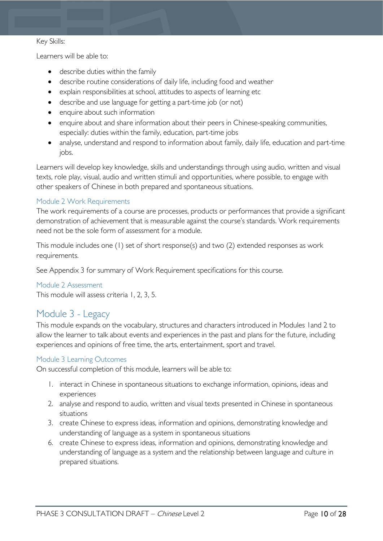#### Key Skills:

Learners will be able to:

- describe duties within the family
- describe routine considerations of daily life, including food and weather
- explain responsibilities at school, attitudes to aspects of learning etc
- describe and use language for getting a part-time job (or not)
- enquire about such information
- enquire about and share information about their peers in Chinese-speaking communities, especially: duties within the family, education, part-time jobs
- analyse, understand and respond to information about family, daily life, education and part-time jobs.

Learners will develop key knowledge, skills and understandings through using audio, written and visual texts, role play, visual, audio and written stimuli and opportunities, where possible, to engage with other speakers of Chinese in both prepared and spontaneous situations.

#### <span id="page-9-0"></span>Module 2 Work Requirements

The work requirements of a course are processes, products or performances that provide a significant demonstration of achievement that is measurable against the course's standards. Work requirements need not be the sole form of assessment for a module.

This module includes one (1) set of short response(s) and two (2) extended responses as work requirements.

See Appendix 3 for summary of Work Requirement specifications for this course.

#### <span id="page-9-1"></span>Module 2 Assessment

This module will assess criteria 1, 2, 3, 5.

# <span id="page-9-2"></span>Module 3 - Legacy

This module expands on the vocabulary, structures and characters introduced in Modules 1and 2 to allow the learner to talk about events and experiences in the past and plans for the future, including experiences and opinions of free time, the arts, entertainment, sport and travel.

#### <span id="page-9-3"></span>Module 3 Learning Outcomes

On successful completion of this module, learners will be able to:

- 1. interact in Chinese in spontaneous situations to exchange information, opinions, ideas and experiences
- 2. analyse and respond to audio, written and visual texts presented in Chinese in spontaneous situations
- 3. create Chinese to express ideas, information and opinions, demonstrating knowledge and understanding of language as a system in spontaneous situations
- 6. create Chinese to express ideas, information and opinions, demonstrating knowledge and understanding of language as a system and the relationship between language and culture in prepared situations.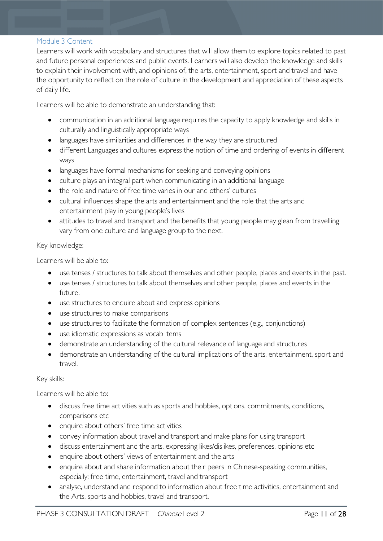#### <span id="page-10-0"></span>Module 3 Content

Learners will work with vocabulary and structures that will allow them to explore topics related to past and future personal experiences and public events. Learners will also develop the knowledge and skills to explain their involvement with, and opinions of, the arts, entertainment, sport and travel and have the opportunity to reflect on the role of culture in the development and appreciation of these aspects of daily life.

Learners will be able to demonstrate an understanding that:

- communication in an additional language requires the capacity to apply knowledge and skills in culturally and linguistically appropriate ways
- languages have similarities and differences in the way they are structured
- different Languages and cultures express the notion of time and ordering of events in different ways
- languages have formal mechanisms for seeking and conveying opinions
- culture plays an integral part when communicating in an additional language
- the role and nature of free time varies in our and others' cultures
- cultural influences shape the arts and entertainment and the role that the arts and entertainment play in young people's lives
- attitudes to travel and transport and the benefits that young people may glean from travelling vary from one culture and language group to the next.

#### Key knowledge:

Learners will be able to:

- use tenses / structures to talk about themselves and other people, places and events in the past.
- use tenses / structures to talk about themselves and other people, places and events in the future.
- use structures to enquire about and express opinions
- use structures to make comparisons
- use structures to facilitate the formation of complex sentences (e.g., conjunctions)
- use idiomatic expressions as vocab items
- demonstrate an understanding of the cultural relevance of language and structures
- demonstrate an understanding of the cultural implications of the arts, entertainment, sport and travel.

#### Key skills:

Learners will be able to:

- discuss free time activities such as sports and hobbies, options, commitments, conditions, comparisons etc
- enquire about others' free time activities
- convey information about travel and transport and make plans for using transport
- discuss entertainment and the arts, expressing likes/dislikes, preferences, opinions etc
- enquire about others' views of entertainment and the arts
- enquire about and share information about their peers in Chinese-speaking communities, especially: free time, entertainment, travel and transport
- analyse, understand and respond to information about free time activities, entertainment and the Arts, sports and hobbies, travel and transport.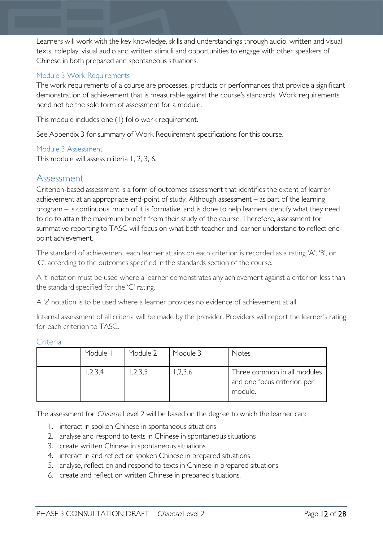Learners will work with the key knowledge, skills and understandings through audio, written and visual texts, roleplay, visual audio and written stimuli and opportunities to engage with other speakers of Chinese in both prepared and spontaneous situations.

#### <span id="page-11-0"></span>Module 3 Work Requirements

The work requirements of a course are processes, products or performances that provide a significant demonstration of achievement that is measurable against the course's standards. Work requirements need not be the sole form of assessment for a module.

This module includes one (1) folio work requirement.

See Appendix 3 for summary of Work Requirement specifications for this course.

#### <span id="page-11-1"></span>Module 3 Assessment

This module will assess criteria 1, 2, 3, 6.

## <span id="page-11-2"></span>Assessment

Criterion-based assessment is a form of outcomes assessment that identifies the extent of learner achievement at an appropriate end-point of study. Although assessment – as part of the learning program – is continuous, much of it is formative, and is done to help learners identify what they need to do to attain the maximum benefit from their study of the course. Therefore, assessment for summative reporting to TASC will focus on what both teacher and learner understand to reflect endpoint achievement.

The standard of achievement each learner attains on each criterion is recorded as a rating 'A', 'B', or 'C', according to the outcomes specified in the standards section of the course.

A 't' notation must be used where a learner demonstrates any achievement against a criterion less than the standard specified for the 'C' rating.

A 'z' notation is to be used where a learner provides no evidence of achievement at all.

Internal assessment of all criteria will be made by the provider. Providers will report the learner's rating for each criterion to TASC.

| Module I | Module 2 | Module 3 | <b>Notes</b>                                                          |
|----------|----------|----------|-----------------------------------------------------------------------|
| 1,2,3,4  | ,2,3,5   | 1,2,3,6  | Three common in all modules<br>and one focus criterion per<br>module. |

<span id="page-11-3"></span>Criteria

The assessment for *Chinese* Level 2 will be based on the degree to which the learner can:

- 1. interact in spoken Chinese in spontaneous situations
- 2. analyse and respond to texts in Chinese in spontaneous situations
- 3. create written Chinese in spontaneous situations
- 4. interact in and reflect on spoken Chinese in prepared situations
- 5. analyse, reflect on and respond to texts in Chinese in prepared situations
- 6. create and reflect on written Chinese in prepared situations.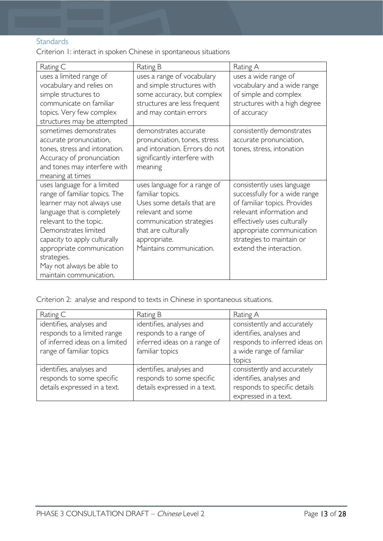#### <span id="page-12-0"></span>**Standards**

Criterion 1: interact in spoken Chinese in spontaneous situations

| Rating C                                                                                                                                                                                                                                                                                                        | Rating B                                                                                                                                                                                           | Rating A                                                                                                                                                                                                                                    |
|-----------------------------------------------------------------------------------------------------------------------------------------------------------------------------------------------------------------------------------------------------------------------------------------------------------------|----------------------------------------------------------------------------------------------------------------------------------------------------------------------------------------------------|---------------------------------------------------------------------------------------------------------------------------------------------------------------------------------------------------------------------------------------------|
| uses a limited range of<br>vocabulary and relies on<br>simple structures to<br>communicate on familiar<br>topics. Very few complex<br>structures may be attempted                                                                                                                                               | uses a range of vocabulary<br>and simple structures with<br>some accuracy, but complex<br>structures are less frequent<br>and may contain errors                                                   | uses a wide range of<br>vocabulary and a wide range<br>of simple and complex<br>structures with a high degree<br>of accuracy                                                                                                                |
| sometimes demonstrates<br>accurate pronunciation,<br>tones, stress and intonation.<br>Accuracy of pronunciation<br>and tones may interfere with<br>meaning at times                                                                                                                                             | demonstrates accurate<br>pronunciation, tones, stress<br>and intonation. Errors do not<br>significantly interfere with<br>meaning                                                                  | consistently demonstrates<br>accurate pronunciation,<br>tones, stress, intonation                                                                                                                                                           |
| uses language for a limited<br>range of familiar topics. The<br>learner may not always use<br>language that is completely<br>relevant to the topic.<br>Demonstrates limited<br>capacity to apply culturally<br>appropriate communication<br>strategies.<br>May not always be able to<br>maintain communication. | uses language for a range of<br>familiar topics.<br>Uses some details that are<br>relevant and some<br>communication strategies<br>that are culturally<br>appropriate.<br>Maintains communication. | consistently uses language<br>successfully for a wide range<br>of familiar topics. Provides<br>relevant information and<br>effectively uses culturally<br>appropriate communication<br>strategies to maintain or<br>extend the interaction. |

Criterion 2: analyse and respond to texts in Chinese in spontaneous situations.

| Rating C                                                                                                              | Rating B                                                                                              | Rating A                                                                                                             |
|-----------------------------------------------------------------------------------------------------------------------|-------------------------------------------------------------------------------------------------------|----------------------------------------------------------------------------------------------------------------------|
| identifies, analyses and<br>responds to a limited range<br>of inferred ideas on a limited<br>range of familiar topics | identifies, analyses and<br>responds to a range of<br>inferred ideas on a range of<br>familiar topics | consistently and accurately<br>identifies, analyses and<br>responds to inferred ideas on<br>a wide range of familiar |
|                                                                                                                       |                                                                                                       | topics                                                                                                               |
| identifies, analyses and<br>responds to some specific<br>details expressed in a text.                                 | identifies, analyses and<br>responds to some specific<br>details expressed in a text.                 | consistently and accurately<br>identifies, analyses and<br>responds to specific details<br>expressed in a text.      |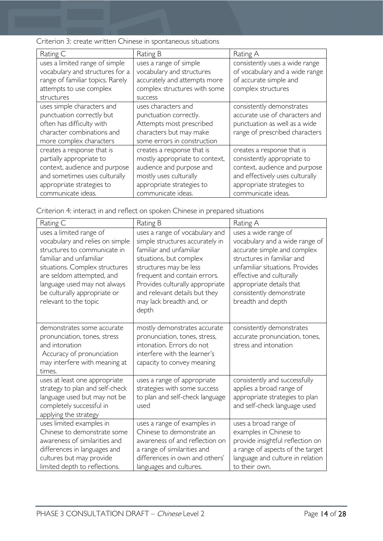| Criterion 3: create written Chinese in spontaneous situations |  |  |  |  |  |
|---------------------------------------------------------------|--|--|--|--|--|
|---------------------------------------------------------------|--|--|--|--|--|

| Rating C                                                                                                                                                                    | Rating B                                                                                                                                                              | Rating A                                                                                                                                                                         |
|-----------------------------------------------------------------------------------------------------------------------------------------------------------------------------|-----------------------------------------------------------------------------------------------------------------------------------------------------------------------|----------------------------------------------------------------------------------------------------------------------------------------------------------------------------------|
| uses a limited range of simple<br>vocabulary and structures for a<br>range of familiar topics. Rarely<br>attempts to use complex<br>structures                              | uses a range of simple<br>vocabulary and structures<br>accurately and attempts more<br>complex structures with some<br><b>SUCCESS</b>                                 | consistently uses a wide range<br>of vocabulary and a wide range<br>of accurate simple and<br>complex structures                                                                 |
| uses simple characters and<br>punctuation correctly but<br>often has difficulty with<br>character combinations and<br>more complex characters                               | uses characters and<br>punctuation correctly.<br>Attempts most prescribed<br>characters but may make<br>some errors in construction                                   | consistently demonstrates<br>accurate use of characters and<br>punctuation as well as a wide<br>range of prescribed characters                                                   |
| creates a response that is<br>partially appropriate to<br>context, audience and purpose<br>and sometimes uses culturally<br>appropriate strategies to<br>communicate ideas. | creates a response that is<br>mostly appropriate to context,<br>audience and purpose and<br>mostly uses culturally<br>appropriate strategies to<br>communicate ideas. | creates a response that is<br>consistently appropriate to<br>context, audience and purpose<br>and effectively uses culturally<br>appropriate strategies to<br>communicate ideas. |

| Rating C                                                                                                                                                                                                                                                                      | Rating B                                                                                                                                                                                                                                                                                   | Rating A                                                                                                                                                                                                                                                        |
|-------------------------------------------------------------------------------------------------------------------------------------------------------------------------------------------------------------------------------------------------------------------------------|--------------------------------------------------------------------------------------------------------------------------------------------------------------------------------------------------------------------------------------------------------------------------------------------|-----------------------------------------------------------------------------------------------------------------------------------------------------------------------------------------------------------------------------------------------------------------|
| uses a limited range of<br>vocabulary and relies on simple<br>structures to communicate in<br>familiar and unfamiliar<br>situations. Complex structures<br>are seldom attempted, and<br>language used may not always<br>be culturally appropriate or<br>relevant to the topic | uses a range of vocabulary and<br>simple structures accurately in<br>familiar and unfamiliar<br>situations, but complex<br>structures may be less<br>frequent and contain errors.<br>Provides culturally appropriate<br>and relevant details but they<br>may lack breadth and, or<br>depth | uses a wide range of<br>vocabulary and a wide range of<br>accurate simple and complex<br>structures in familiar and<br>unfamiliar situations. Provides<br>effective and culturally<br>appropriate details that<br>consistently demonstrate<br>breadth and depth |
| demonstrates some accurate<br>pronunciation, tones, stress<br>and intonation<br>Accuracy of pronunciation<br>may interfere with meaning at<br>times.                                                                                                                          | mostly demonstrates accurate<br>pronunciation, tones, stress,<br>intonation. Errors do not<br>interfere with the learner's<br>capacity to convey meaning                                                                                                                                   | consistently demonstrates<br>accurate pronunciation, tones,<br>stress and intonation                                                                                                                                                                            |
| uses at least one appropriate<br>strategy to plan and self-check<br>language used but may not be<br>completely successful in<br>applying the strategy                                                                                                                         | uses a range of appropriate<br>strategies with some success<br>to plan and self-check language<br>used                                                                                                                                                                                     | consistently and successfully<br>applies a broad range of<br>appropriate strategies to plan<br>and self-check language used                                                                                                                                     |
| uses limited examples in<br>Chinese to demonstrate some<br>awareness of similarities and<br>differences in languages and<br>cultures but may provide<br>limited depth to reflections.                                                                                         | uses a range of examples in<br>Chinese to demonstrate an<br>awareness of and reflection on<br>a range of similarities and<br>differences in own and others'<br>languages and cultures.                                                                                                     | uses a broad range of<br>examples in Chinese to<br>provide insightful reflection on<br>a range of aspects of the target<br>language and culture in relation<br>to their own.                                                                                    |

Criterion 4: interact in and reflect on spoken Chinese in prepared situations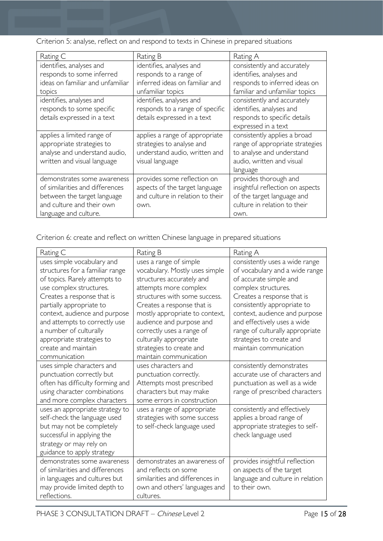Criterion 5: analyse, reflect on and respond to texts in Chinese in prepared situations

| Rating C                         | Rating B                         | Rating A                         |
|----------------------------------|----------------------------------|----------------------------------|
| identifies, analyses and         | identifies, analyses and         | consistently and accurately      |
| responds to some inferred        | responds to a range of           | identifies, analyses and         |
| ideas on familiar and unfamiliar | inferred ideas on familiar and   | responds to inferred ideas on    |
| topics                           | unfamiliar topics                | familiar and unfamiliar topics   |
| identifies, analyses and         | identifies, analyses and         | consistently and accurately      |
| responds to some specific        | responds to a range of specific  | identifies, analyses and         |
| details expressed in a text      | details expressed in a text      | responds to specific details     |
|                                  |                                  | expressed in a text              |
| applies a limited range of       | applies a range of appropriate   | consistently applies a broad     |
| appropriate strategies to        | strategies to analyse and        | range of appropriate strategies  |
| analyse and understand audio,    | understand audio, written and    | to analyse and understand        |
| written and visual language      | visual language                  | audio, written and visual        |
|                                  |                                  | language                         |
| demonstrates some awareness      | provides some reflection on      | provides thorough and            |
| of similarities and differences  | aspects of the target language   | insightful reflection on aspects |
| between the target language      | and culture in relation to their | of the target language and       |
| and culture and their own        | own.                             | culture in relation to their     |
| language and culture.            |                                  | own.                             |

Criterion 6: create and reflect on written Chinese language in prepared situations

| Rating C                                                                                                                                                                                                             | Rating B                                                                                                                                                                                                        | Rating A                                                                                                                                                                                                        |
|----------------------------------------------------------------------------------------------------------------------------------------------------------------------------------------------------------------------|-----------------------------------------------------------------------------------------------------------------------------------------------------------------------------------------------------------------|-----------------------------------------------------------------------------------------------------------------------------------------------------------------------------------------------------------------|
| uses simple vocabulary and<br>structures for a familiar range<br>of topics. Rarely attempts to<br>use complex structures.<br>Creates a response that is<br>partially appropriate to<br>context, audience and purpose | uses a range of simple<br>vocabulary. Mostly uses simple<br>structures accurately and<br>attempts more complex<br>structures with some success.<br>Creates a response that is<br>mostly appropriate to context, | consistently uses a wide range<br>of vocabulary and a wide range<br>of accurate simple and<br>complex structures.<br>Creates a response that is<br>consistently appropriate to<br>context, audience and purpose |
| and attempts to correctly use<br>a number of culturally<br>appropriate strategies to<br>create and maintain<br>communication                                                                                         | audience and purpose and<br>correctly uses a range of<br>culturally appropriate<br>strategies to create and<br>maintain communication                                                                           | and effectively uses a wide<br>range of culturally appropriate<br>strategies to create and<br>maintain communication                                                                                            |
| uses simple characters and<br>punctuation correctly but<br>often has difficulty forming and<br>using character combinations<br>and more complex characters                                                           | uses characters and<br>punctuation correctly.<br>Attempts most prescribed<br>characters but may make<br>some errors in construction                                                                             | consistently demonstrates<br>accurate use of characters and<br>punctuation as well as a wide<br>range of prescribed characters                                                                                  |
| uses an appropriate strategy to<br>self-check the language used<br>but may not be completely<br>successful in applying the<br>strategy or may rely on<br>guidance to apply strategy                                  | uses a range of appropriate<br>strategies with some success<br>to self-check language used                                                                                                                      | consistently and effectively<br>applies a broad range of<br>appropriate strategies to self-<br>check language used                                                                                              |
| demonstrates some awareness<br>of similarities and differences<br>in languages and cultures but<br>may provide limited depth to<br>reflections.                                                                      | demonstrates an awareness of<br>and reflects on some<br>similarities and differences in<br>own and others' languages and<br>cultures.                                                                           | provides insightful reflection<br>on aspects of the target<br>language and culture in relation<br>to their own.                                                                                                 |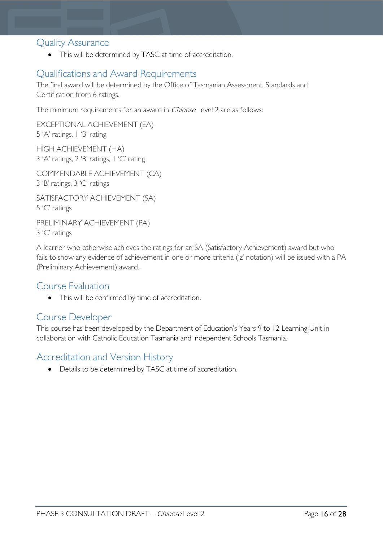## <span id="page-15-0"></span>Quality Assurance

• This will be determined by TASC at time of accreditation.

# <span id="page-15-1"></span>Qualifications and Award Requirements

The final award will be determined by the Office of Tasmanian Assessment, Standards and Certification from 6 ratings.

The minimum requirements for an award in *Chinese* Level 2 are as follows:

EXCEPTIONAL ACHIEVEMENT (EA) 5 'A' ratings, 1 'B' rating

HIGH ACHIEVEMENT (HA) 3 'A' ratings, 2 'B' ratings, 1 'C' rating

COMMENDABLE ACHIEVEMENT (CA) 3 'B' ratings, 3 'C' ratings

SATISFACTORY ACHIEVEMENT (SA) 5 'C' ratings

PRELIMINARY ACHIEVEMENT (PA) 3 'C' ratings

A learner who otherwise achieves the ratings for an SA (Satisfactory Achievement) award but who fails to show any evidence of achievement in one or more criteria ('z' notation) will be issued with a PA (Preliminary Achievement) award.

## <span id="page-15-2"></span>Course Evaluation

• This will be confirmed by time of accreditation.

## <span id="page-15-3"></span>Course Developer

This course has been developed by the Department of Education's Years 9 to 12 Learning Unit in collaboration with Catholic Education Tasmania and Independent Schools Tasmania.

# <span id="page-15-4"></span>Accreditation and Version History

• Details to be determined by TASC at time of accreditation.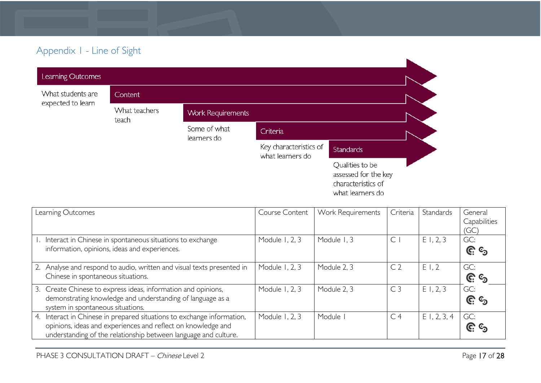# Appendix 1 - Line of Sight

| Learning Outcomes |                        |                             |                                            |                                                                                   |  |
|-------------------|------------------------|-----------------------------|--------------------------------------------|-----------------------------------------------------------------------------------|--|
| What students are | Content                |                             |                                            |                                                                                   |  |
| expected to learn | What teachers<br>teach | <b>Work Requirements</b>    |                                            |                                                                                   |  |
|                   |                        | Some of what<br>learners do | Criteria                                   |                                                                                   |  |
|                   |                        |                             | Key characteristics of<br>what learners do | <b>Standards</b>                                                                  |  |
|                   |                        |                             |                                            | Qualities to be<br>assessed for the key<br>characteristics of<br>what learners do |  |

<span id="page-16-0"></span>

| Learning Outcomes                                                      | Course Content | Work Requirements | Criteria       | Standards   | General      |
|------------------------------------------------------------------------|----------------|-------------------|----------------|-------------|--------------|
|                                                                        |                |                   |                |             | Capabilities |
|                                                                        |                |                   |                |             | (GC)         |
| 1. Interact in Chinese in spontaneous situations to exchange           | Module 1, 2, 3 | Module 1, 3       | $\subset$      | E1, 2, 3    | GC:          |
| information, opinions, ideas and experiences.                          |                |                   |                |             | <u>၉</u> ୍ର  |
|                                                                        |                |                   |                |             |              |
| 2. Analyse and respond to audio, written and visual texts presented in | Module 1, 2, 3 | Module 2, 3       | C <sub>2</sub> | E1.2        | GC:          |
| Chinese in spontaneous situations.                                     |                |                   |                |             | <u>၉</u> ၆   |
| 3. Create Chinese to express ideas, information and opinions,          | Module 1, 2, 3 | Module 2, 3       | C <sub>3</sub> | E1, 2, 3    | GC:          |
| demonstrating knowledge and understanding of language as a             |                |                   |                |             | <u>၉</u> ေ   |
| system in spontaneous situations.                                      |                |                   |                |             |              |
| 4. Interact in Chinese in prepared situations to exchange information, | Module 1, 2, 3 | Module I          | C <sub>4</sub> | E1, 2, 3, 4 | GC:          |
| opinions, ideas and experiences and reflect on knowledge and           |                |                   |                |             | G G          |
| understanding of the relationship between language and culture.        |                |                   |                |             |              |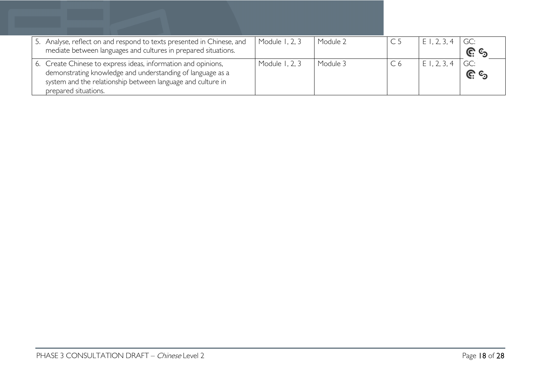| 5. Analyse, reflect on and respond to texts presented in Chinese, and<br>mediate between languages and cultures in prepared situations.                                                    | Module 1, 2, 3 | Module 2 | E1, 2, 3, 4 | <u>ଙ୍ଗ ଙ୍</u>      |
|--------------------------------------------------------------------------------------------------------------------------------------------------------------------------------------------|----------------|----------|-------------|--------------------|
| 6. Create Chinese to express ideas, information and opinions,<br>demonstrating knowledge and understanding of language as a<br>system and the relationship between language and culture in | Module 1, 2, 3 | Module 3 | E1, 2, 3, 4 | GC:<br><u>ଜ</u> ୍ର |
| prepared situations.                                                                                                                                                                       |                |          |             |                    |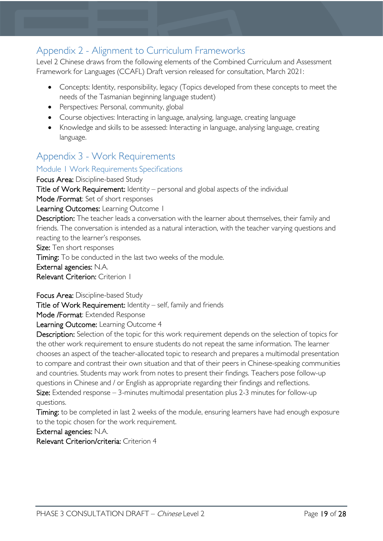# <span id="page-18-0"></span>Appendix 2 - Alignment to Curriculum Frameworks

Level 2 Chinese draws from the following elements of the Combined Curriculum and Assessment Framework for Languages (CCAFL) Draft version released for consultation, March 2021:

- Concepts: Identity, responsibility, legacy (Topics developed from these concepts to meet the needs of the Tasmanian beginning language student)
- Perspectives: Personal, community, global
- Course objectives: Interacting in language, analysing, language, creating language
- Knowledge and skills to be assessed: Interacting in language, analysing language, creating language.

# <span id="page-18-1"></span>Appendix 3 - Work Requirements

#### <span id="page-18-2"></span>Module 1 Work Requirements Specifications

Focus Area: Discipline-based Study Title of Work Requirement: Identity – personal and global aspects of the individual Mode /Format: Set of short responses Learning Outcomes: Learning Outcome 1 Description: The teacher leads a conversation with the learner about themselves, their family and friends. The conversation is intended as a natural interaction, with the teacher varying questions and reacting to the learner's responses. Size: Ten short responses Timing: To be conducted in the last two weeks of the module.

External agencies: N.A.

Relevant Criterion: Criterion 1

Focus Area: Discipline-based Study

Title of Work Requirement: Identity – self, family and friends

Mode /Format: Extended Response

Learning Outcome: Learning Outcome 4

Description: Selection of the topic for this work requirement depends on the selection of topics for the other work requirement to ensure students do not repeat the same information. The learner chooses an aspect of the teacher-allocated topic to research and prepares a multimodal presentation to compare and contrast their own situation and that of their peers in Chinese-speaking communities and countries. Students may work from notes to present their findings. Teachers pose follow-up questions in Chinese and / or English as appropriate regarding their findings and reflections. Size: Extended response – 3-minutes multimodal presentation plus 2-3 minutes for follow-up questions.

Timing: to be completed in last 2 weeks of the module, ensuring learners have had enough exposure to the topic chosen for the work requirement.

External agencies: N.A.

Relevant Criterion/criteria: Criterion 4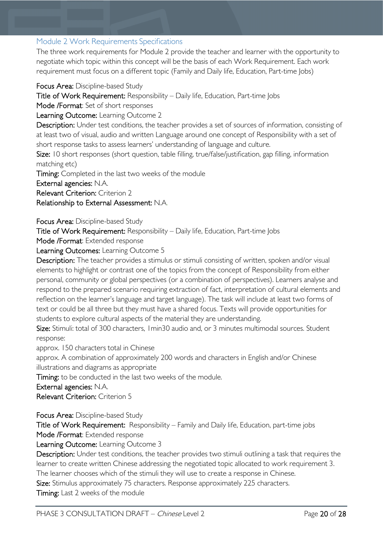#### <span id="page-19-0"></span>Module 2 Work Requirements Specifications

The three work requirements for Module 2 provide the teacher and learner with the opportunity to negotiate which topic within this concept will be the basis of each Work Requirement. Each work requirement must focus on a different topic (Family and Daily life, Education, Part-time Jobs)

Focus Area: Discipline-based Study

Title of Work Requirement: Responsibility – Daily life, Education, Part-time Jobs

Mode /Format: Set of short responses

Learning Outcome: Learning Outcome 2

Description: Under test conditions, the teacher provides a set of sources of information, consisting of at least two of visual, audio and written Language around one concept of Responsibility with a set of short response tasks to assess learners' understanding of language and culture.

Size: 10 short responses (short question, table filling, true/false/justification, gap filling, information matching etc)

Timing: Completed in the last two weeks of the module

External agencies: N.A.

Relevant Criterion: Criterion 2

Relationship to External Assessment: N.A.

Focus Area: Discipline-based Study

Title of Work Requirement: Responsibility – Daily life, Education, Part-time Jobs

Mode /Format: Extended response

Learning Outcomes: Learning Outcome 5

Description: The teacher provides a stimulus or stimuli consisting of written, spoken and/or visual elements to highlight or contrast one of the topics from the concept of Responsibility from either personal, community or global perspectives (or a combination of perspectives). Learners analyse and respond to the prepared scenario requiring extraction of fact, interpretation of cultural elements and reflection on the learner's language and target language). The task will include at least two forms of text or could be all three but they must have a shared focus. Texts will provide opportunities for students to explore cultural aspects of the material they are understanding.

Size: Stimuli: total of 300 characters, 1 min30 audio and, or 3 minutes multimodal sources. Student response:

approx. 150 characters total in Chinese

approx. A combination of approximately 200 words and characters in English and/or Chinese illustrations and diagrams as appropriate

Timing: to be conducted in the last two weeks of the module.

External agencies: N.A.

Relevant Criterion: Criterion 5

Focus Area: Discipline-based Study

Title of Work Requirement: Responsibility – Family and Daily life, Education, part-time jobs Mode /Format: Extended response

Learning Outcome: Learning Outcome 3

Description: Under test conditions, the teacher provides two stimuli outlining a task that requires the learner to create written Chinese addressing the negotiated topic allocated to work requirement 3.

The learner chooses which of the stimuli they will use to create a response in Chinese.

Size: Stimulus approximately 75 characters. Response approximately 225 characters.

Timing: Last 2 weeks of the module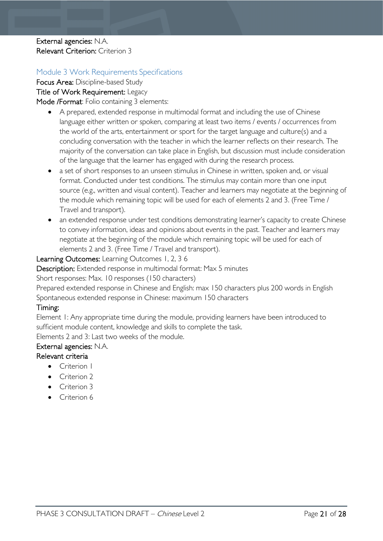#### External agencies: N.A. Relevant Criterion: Criterion 3

#### <span id="page-20-0"></span>Module 3 Work Requirements Specifications

Focus Area: Discipline-based Study Title of Work Requirement: Legacy Mode /Format: Folio containing 3 elements:

- A prepared, extended response in multimodal format and including the use of Chinese language either written or spoken, comparing at least two items / events / occurrences from the world of the arts, entertainment or sport for the target language and culture(s) and a concluding conversation with the teacher in which the learner reflects on their research. The majority of the conversation can take place in English, but discussion must include consideration of the language that the learner has engaged with during the research process.
- a set of short responses to an unseen stimulus in Chinese in written, spoken and, or visual format. Conducted under test conditions. The stimulus may contain more than one input source (e.g., written and visual content). Teacher and learners may negotiate at the beginning of the module which remaining topic will be used for each of elements 2 and 3. (Free Time / Travel and transport).
- an extended response under test conditions demonstrating learner's capacity to create Chinese to convey information, ideas and opinions about events in the past. Teacher and learners may negotiate at the beginning of the module which remaining topic will be used for each of elements 2 and 3. (Free Time / Travel and transport).

#### Learning Outcomes: Learning Outcomes 1, 2, 3 6

Description: Extended response in multimodal format: Max 5 minutes

Short responses: Max. 10 responses (150 characters)

Prepared extended response in Chinese and English: max 150 characters plus 200 words in English Spontaneous extended response in Chinese: maximum 150 characters

#### Timing:

Element 1: Any appropriate time during the module, providing learners have been introduced to sufficient module content, knowledge and skills to complete the task.

Elements 2 and 3: Last two weeks of the module.

## External agencies: N.A.

#### Relevant criteria

- Criterion I
- Criterion 2
- Criterion 3
- Criterion 6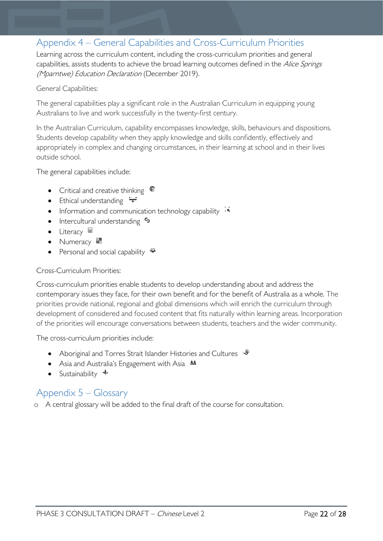# <span id="page-21-0"></span>Appendix 4 – General Capabilities and Cross-Curriculum Priorities

Learning across the curriculum content, including the cross-curriculum priorities and general capabilities, assists students to achieve the broad learning outcomes defined in the Alice Springs (Mparntwe) Education Declaration (December 2019).

#### General Capabilities:

The general capabilities play a significant role in the Australian Curriculum in equipping young Australians to live and work successfully in the twenty-first century.

In the Australian Curriculum, capability encompasses knowledge, skills, behaviours and dispositions. Students develop capability when they apply knowledge and skills confidently, effectively and appropriately in complex and changing circumstances, in their learning at school and in their lives outside school.

The general capabilities include:

- Critical and creative thinking  $\mathbb{C}$
- Ethical understanding  $\div$
- Information and communication technology capability  $\cdot \cdot$
- Intercultural understanding  $\frac{c_3}{ }$
- Literacy
- Numeracy
- Personal and social capability  $\ddot{\ddot{}}$

#### Cross-Curriculum Priorities:

Cross-curriculum priorities enable students to develop understanding about and address the contemporary issues they face, for their own benefit and for the benefit of Australia as a whole. The priorities provide national, regional and global dimensions which will enrich the curriculum through development of considered and focused content that fits naturally within learning areas. Incorporation of the priorities will encourage conversations between students, teachers and the wider community.

The cross-curriculum priorities include:

- Aboriginal and Torres Strait Islander Histories and Cultures  $\mathcal$
- Asia and Australia's Engagement with Asia **AA**
- Sustainability  $\triangleleft$

# <span id="page-21-1"></span>Appendix 5 – Glossary

o A central glossary will be added to the final draft of the course for consultation.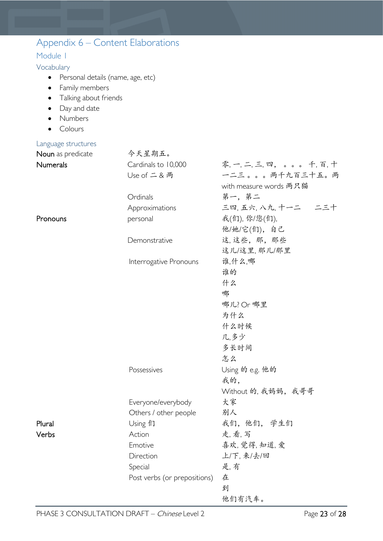<span id="page-22-3"></span><span id="page-22-2"></span><span id="page-22-1"></span><span id="page-22-0"></span>

| Appendix 6 – Content Elaborations  |                              |                            |
|------------------------------------|------------------------------|----------------------------|
| Module I                           |                              |                            |
| Vocabulary                         |                              |                            |
| Personal details (name, age, etc)  |                              |                            |
| Family members<br>$\bullet$        |                              |                            |
| Talking about friends<br>$\bullet$ |                              |                            |
| Day and date                       |                              |                            |
| Numbers                            |                              |                            |
| Colours                            |                              |                            |
| Language structures                |                              |                            |
| Noun as predicate                  | 今天星期五。                       |                            |
| Numerals                           | Cardinals to 10,000          | 零, 一, 二, 三, 四, 。。。 千, 百, 十 |
|                                    | Use of 二 & 两                 | 一二三。。。两千九百三十五。两            |
|                                    |                              | with measure words 两只猫     |
|                                    | Ordinals                     | 第一,第二                      |
|                                    | Approximations               | 三四, 五六, 八九, 十一二   二三十      |
| Pronouns                           | personal                     | 我(们), 你/您(们),              |
|                                    |                              | 他/她/它(们), 自己               |
|                                    | Demonstrative                | 这,这些,那,那些                  |
|                                    |                              | 这儿/这里, 那儿/那里               |
|                                    | Interrogative Pronouns       | 谁,什么,哪                     |
|                                    |                              | 谁的                         |
|                                    |                              | 什么                         |
|                                    |                              | 哪                          |
|                                    |                              | 哪儿?Or 哪里                   |
|                                    |                              | 为什么                        |
|                                    |                              | 什么时候                       |
|                                    |                              | 几,多少                       |
|                                    |                              | 多长时间                       |
|                                    |                              | 怎么                         |
|                                    | Possessives                  | Using 的 e.g. 他的            |
|                                    |                              | 我的,                        |
|                                    |                              | Without 的, 我妈妈, 我哥哥        |
|                                    | Everyone/everybody           | 大家                         |
|                                    | Others / other people        | 别人                         |
| Plural                             | Using 们                      | 我们, 他们, 学生们                |
| Verbs                              | Action                       | 走, 看, 写                    |
|                                    | Emotive                      | 喜欢, 觉得, 知道, 爱              |
|                                    | Direction                    | 上/下,来/去/回                  |
|                                    | Special                      | 是,有                        |
|                                    | Post verbs (or prepositions) | 在                          |
|                                    |                              | 到                          |
|                                    |                              | 他们有汽车。                     |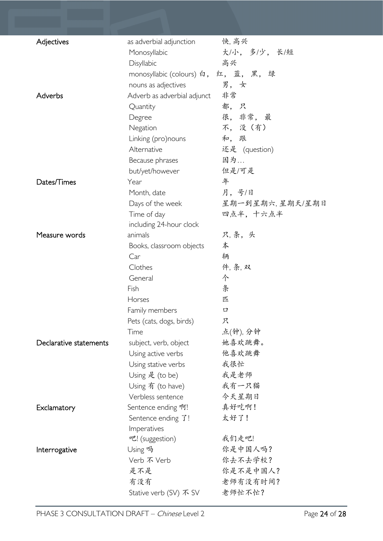| Adjectives             | as adverbial adjunction              | 快, 高兴              |
|------------------------|--------------------------------------|--------------------|
|                        | Monosyllabic                         | 大/小, 多/少, 长/短      |
|                        | Disyllabic                           | 高兴                 |
|                        | monosyllabic (colours) 白, 红, 蓝, 黑, 绿 |                    |
|                        | nouns as adjectives                  | 男,女                |
| Adverbs                | Adverb as adverbial adjunct          | 非常                 |
|                        | Quantity                             | 都,只                |
|                        | Degree                               | 很, 非常, 最           |
|                        | Negation                             | 不, 没 (有)           |
|                        | Linking (pro)nouns                   | 和, 跟               |
|                        | Alternative                          | 还是 (question)      |
|                        | Because phrases                      | 因为                 |
|                        | but/yet/however                      | 但是/可是              |
| Dates/Times            | Year                                 | 年                  |
|                        | Month, date                          | 月,号/日              |
|                        | Days of the week                     | 星期一到星期六,星期天/星期日    |
|                        | Time of day                          | 四点半, 十六点半          |
|                        | including 24-hour clock              |                    |
| Measure words          | animals                              | 只,条,头              |
|                        | Books, classroom objects             | 本                  |
|                        | Car                                  | 辆                  |
|                        | Clothes                              | 件, 条, 双            |
|                        | General                              | 个                  |
|                        | Fish                                 | 条                  |
|                        | Horses                               | 匹                  |
|                        | Family members                       | 口                  |
|                        | Pets (cats, dogs, birds)             | 只                  |
|                        | Time                                 | 点(钟), 分钟           |
| Declarative statements | subject, verb, object                | 她喜欢跳舞。             |
|                        | Using active verbs                   | 他喜欢跳舞              |
|                        | Using stative verbs                  | 我很忙                |
|                        | Using 是 (to be)                      | 我是老师               |
|                        | Using 有 (to have)                    | 我有一只猫              |
|                        | Verbless sentence                    | 今天星期日              |
| Exclamatory            | Sentence ending 啊!                   | 真好吃啊!              |
|                        | Sentence ending $\mathcal{T}!$       | 太好了!               |
|                        | Imperatives                          | 我们走吧!              |
|                        | 吧! (suggestion)                      |                    |
| Interrogative          | Using 吗<br>Verb 不 Verb               | 你是中国人吗?<br>你去不去学校? |
|                        | 是不是                                  | 你是不是中国人?           |
|                        | 有没有                                  | 老师有没有时间?           |
|                        |                                      | 老师忙不忙?             |
|                        | Stative verb (SV) 不 SV               |                    |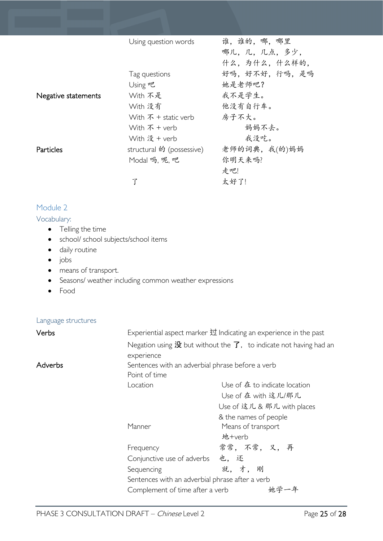|                     | Using question words         | 谁,谁的,哪,哪里     |
|---------------------|------------------------------|---------------|
|                     |                              | 哪儿,几,几点,多少,   |
|                     |                              | 什么,为什么,什么样的,  |
|                     | Tag questions                | 好吗,好不好,行吗,是吗  |
|                     | Using 吧                      | 她是老师吧?        |
| Negative statements | With 不是                      | 我不是学生。        |
|                     | With 没有                      | 他没有自行车。       |
|                     | With $\bar{x}$ + static verb | 房子不大。         |
|                     | With $\bar{x}$ + verb        | 妈妈不去。         |
|                     | With 没 + verb                | 我没吃。          |
| Particles           | structural 的 (possessive)    | 老师的词典, 我(的)妈妈 |
|                     | Modal 吗, 呢, 吧                | 你明天来吗?        |
|                     |                              | 走吧!           |
|                     |                              | 太好了!          |

#### <span id="page-24-0"></span>Module 2

#### <span id="page-24-1"></span>Vocabulary:

- Telling the time
- school/ school subjects/school items
- daily routine
- jobs
- means of transport.
- Seasons/ weather including common weather expressions
- Food

#### <span id="page-24-2"></span>Language structures

| Verbs   | Experiential aspect marker 过 Indicating an experience in the past |                                                                                             |
|---------|-------------------------------------------------------------------|---------------------------------------------------------------------------------------------|
|         |                                                                   | Negation using $\frac{1}{2}$ but without the $\overline{f}$ , to indicate not having had an |
|         | experience                                                        |                                                                                             |
| Adverbs | Sentences with an adverbial phrase before a verb<br>Point of time |                                                                                             |
|         |                                                                   |                                                                                             |
|         | Location                                                          | Use of 在 to indicate location                                                               |
|         |                                                                   | Use of 在 with 这儿/那儿                                                                         |
|         |                                                                   | Use of 这儿 & 那儿 with places                                                                  |
|         |                                                                   | & the names of people                                                                       |
|         | Manner                                                            | Means of transport<br>地+verb                                                                |
|         | Frequency                                                         | 常常, 不常, 又, 再                                                                                |
|         | Conjunctive use of adverbs                                        | 也,还                                                                                         |
|         | Sequencing                                                        | 就,才,<br>刚                                                                                   |
|         | Sentences with an adverbial phrase after a verb                   |                                                                                             |
|         | Complement of time after a verb                                   |                                                                                             |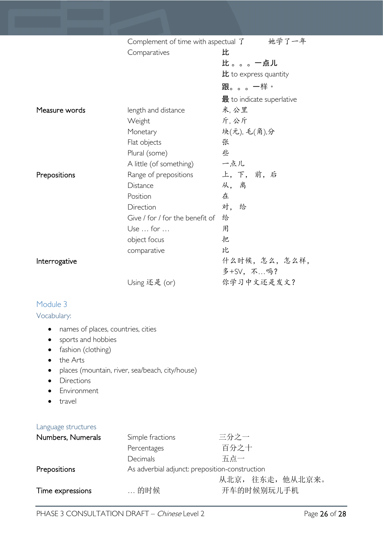|                                    | 她学了一年<br>Complement of time with aspectual $\mathcal{I}$ |                                             |
|------------------------------------|----------------------------------------------------------|---------------------------------------------|
|                                    | Comparatives                                             | 比                                           |
|                                    |                                                          | 比。。。一点儿                                     |
|                                    |                                                          | $E$ to express quantity                     |
|                                    |                                                          | 跟。。。一样。                                     |
|                                    |                                                          | $\mathbf{\ddot{R}}$ to indicate superlative |
| Measure words                      | length and distance                                      | 米,公里                                        |
|                                    | Weight                                                   | 斤,公斤                                        |
|                                    | Monetary                                                 | 块(元), 毛(角),分                                |
|                                    | Flat objects                                             | 张                                           |
|                                    | Plural (some)                                            | 些                                           |
|                                    | A little (of something)                                  | 一点儿                                         |
| Prepositions                       | Range of prepositions                                    | 上,下,前,后                                     |
|                                    | Distance                                                 | 从,离                                         |
|                                    | Position                                                 | 在                                           |
|                                    | Direction                                                | 对, 给                                        |
|                                    | Give / for / for the benefit of                          | 给                                           |
|                                    | Use  for                                                 | 用                                           |
|                                    | object focus                                             | 把                                           |
|                                    | comparative                                              | 比                                           |
| Interrogative                      |                                                          | 什么时候,怎么,怎么样,                                |
|                                    |                                                          | 多+SV, 不吗?                                   |
|                                    | Using 还是 (or)                                            | 你学习中文还是发文?                                  |
| Module 3                           |                                                          |                                             |
| Vocabulary:                        |                                                          |                                             |
|                                    |                                                          |                                             |
| names of places, countries, cities |                                                          |                                             |
| sports and hobbies                 |                                                          |                                             |

- <span id="page-25-1"></span><span id="page-25-0"></span>• fashion (clothing)
- the Arts
- places (mountain, river, sea/beach, city/house)
- Directions
- Environment
- travel

#### <span id="page-25-2"></span>Language structures

| Numbers, Numerals | Simple fractions                               | 三分之一             |
|-------------------|------------------------------------------------|------------------|
|                   | Percentages                                    | 百分之十             |
|                   | <b>Decimals</b>                                | 五点一              |
| Prepositions      | As adverbial adjunct: preposition-construction |                  |
|                   |                                                | 从北京, 往东走, 他从北京来。 |
| Time expressions  | 的时候                                            | 开车的时候别玩儿手机       |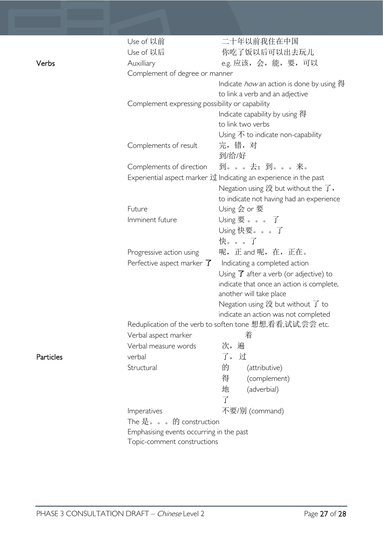|           | Use of 以前                                       | 二十年以前我住在中国                                                                           |  |
|-----------|-------------------------------------------------|--------------------------------------------------------------------------------------|--|
|           | Use of 以后                                       | 你吃了饭以后可以出去玩儿                                                                         |  |
| Verbs     | Auxilliary                                      | e.g. 应该, 会, 能, 要, 可以                                                                 |  |
|           | Complement of degree or manner                  |                                                                                      |  |
|           |                                                 | Indicate <i>how</i> an action is done by using 得                                     |  |
|           |                                                 | to link a verb and an adjective                                                      |  |
|           | Complement expressing possibility or capability |                                                                                      |  |
|           |                                                 | Indicate capability by using 得                                                       |  |
|           |                                                 | to link two verbs                                                                    |  |
|           |                                                 | Using $\overline{\Lambda}$ to indicate non-capability                                |  |
|           | Complements of result                           | 完,错,对                                                                                |  |
|           |                                                 | 到/给/好                                                                                |  |
|           | Complements of direction                        | 到。。。去; 到。。。来。                                                                        |  |
|           |                                                 | Experiential aspect marker $\overrightarrow{U}$ Indicating an experience in the past |  |
|           |                                                 | Negation using $\mathcal{B}$ but without the $\mathcal{T}$ ,                         |  |
|           |                                                 | to indicate not having had an experience                                             |  |
|           | Future                                          | Using 会 or 要                                                                         |  |
|           | Imminent future                                 | Using $\overline{\mathcal{F}}$ $\overline{f}$                                        |  |
|           |                                                 | Using 快要。。。了                                                                         |  |
|           |                                                 | 快。。。了                                                                                |  |
|           | Progressive action using                        | 呢, 正 and 呢, 在, 正在。                                                                   |  |
|           | Perfective aspect marker $\overline{J}$         | Indicating a completed action                                                        |  |
|           |                                                 | Using $\overline{J}$ after a verb (or adjective) to                                  |  |
|           |                                                 | indicate that once an action is complete,                                            |  |
|           |                                                 | another will take place                                                              |  |
|           |                                                 | Negation using $\mathcal{B}$ but without $\mathcal{T}$ to                            |  |
|           |                                                 | indicate an action was not completed                                                 |  |
|           |                                                 | Reduplication of the verb to soften tone 想想,看看,试试,尝尝 etc.                            |  |
|           | Verbal aspect marker                            | 着                                                                                    |  |
|           | Verbal measure words                            | 遍<br>次,                                                                              |  |
| Particles | verbal                                          | 了,过                                                                                  |  |
|           | Structural                                      | 的<br>(attributive)                                                                   |  |
|           |                                                 | 得<br>(complement)                                                                    |  |
|           |                                                 | 地<br>(adverbial)                                                                     |  |
|           |                                                 | $\overline{f}$                                                                       |  |
|           | Imperatives                                     | 不要/别 (command)                                                                       |  |
|           | The 是。。。的 construction                          |                                                                                      |  |
|           | Emphasising events occurring in the past        |                                                                                      |  |
|           | Topic-comment constructions                     |                                                                                      |  |
|           |                                                 |                                                                                      |  |